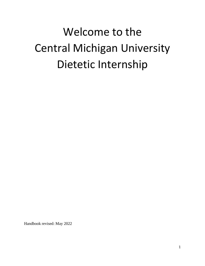# Welcome to the Central Michigan University Dietetic Internship

Handbook revised: May 2022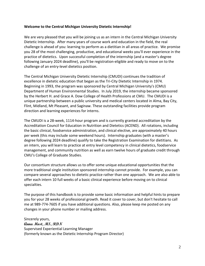### **Welcome to the Central Michigan University Dietetic Internship!**

We are very pleased that you will be joining us as an intern in the Central Michigan University Dietetic Internship. After many years of course work and education in the field, the real challenge is ahead of you: learning to perform as a dietitian in all areas of practice. We promise you 28 of the most challenging, productive, and educational weeks you'll ever experience in the practice of dietetics. Upon successful completion of the internship (and a master's degree following January 2024 deadline), you'll be registration-eligible and ready to move on to the challenge of an entry-level dietetics position.

The Central Michigan University Dietetic Internship (CMUDI) continues the tradition of excellence in dietetic education that began as the Tri-City Dietetic Internship in 1974. Beginning in 1993, the program was sponsored by Central Michigan University's (CMU) Department of Human Environmental Studies. In July 2019, the internship became sponsored by the Herbert H. and Grace A. Dow College of Health Professions at CMU. The CMUDI is a unique partnership between a public university and medical centers located in Alma, Bay City, Flint, Midland, Mt Pleasant, and Saginaw. These outstanding facilities provide program direction and learning experiences for interns.

The CMUDI is a 28-week, 1114-hour program and is currently granted accreditation by the Accreditation Council for Education in Nutrition and Dietetics (ACEND). All rotations, including the basic clinical, foodservice administration, and clinical elective, are approximately 40 hours per week (this may include some weekend hours). Internship graduates (with a master's degree following 2024 deadline) qualify to take the Registration Examination for dietitians. As an intern, you will learn to practice at entry level competency in clinical dietetics, foodservice management, and community nutrition as well as earn twelve hours of graduate credit through CMU's College of Graduate Studies.

Our consortium structure allows us to offer some unique educational opportunities that the more traditional single institution sponsored internship cannot provide. For example, you can compare several approaches to dietetic practice rather than one approach. We are also able to offer each intern 10 full weeks of a basic clinical experience before moving on to clinical specialties.

The purpose of this handbook is to provide some basic information and helpful hints to prepare you for your 28 weeks of professional growth. Read it cover to cover, but don't hesitate to call me at 989-774-7605 if you have additional questions. Also, please keep me posted on any changes in your phone number or mailing address.

Sincerely yours, **Anna Most, MS, RDN**  Supervised Experiential Learning Manager (formerly known as the Dietetic Internship Program Director)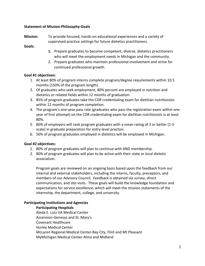## **Statement of Mission-Philosophy-Goals**

**Mission:** To provide focused, hands-on educational experiences and a variety of supervised practice settings for future dietetics practitioners.

**Goals:**

- **1.** Prepare graduates to become competent, diverse, dietetics practitioners who will meet the employment needs in Michigan and the community.
- 2. Prepare graduates who maintain professional involvement and strive for continued professional growth.

## **Goal #1 objectives:**

- 1. At least 80% of program interns complete program/degree requirements within 10.5 months (150% of the program length).
- 2. Of graduates who seek employment, 80% percent are employed in nutrition and dietetics or related fields within 12 months of graduation.
- 3. 85% of program graduates take the CDR credentialing exam for dietitian nutritionists within 12 months of program completion.
- 4. The program's one-year pass rate (graduates who pass the registration exam within one year of first attempt) on the CDR credentialing exam for dietitian nutritionists is at least 80%.
- 5. 80% of employers will rank program graduates with a mean rating of 3 or better (1-5 scale) in graduate preparation for entry-level practice.
- 6. 50% of program graduates employed in dietetics will be employed in Michigan.

#### **Goal #2 objectives:**

- 1. 80% of program graduates will plan to continue with AND membership.
- 2. 80% of program graduates will plan to be active with their state or local dietetic association.

Program goals are reviewed on an ongoing basis based upon the feedback from our internal and external stakeholders, including the interns, faculty, preceptors, and members of our Advisory Council. Feedback is obtained via survey, direct communication, and site visits. These goals will build the knowledge foundation and expectations for service excellence, which will meet the mission statements of the internship, the department, college, and university.

#### **Participating Institutions and Agencies**

#### **Participating Hospitals**

Aleda E. Lutz VA Medical Center Ascension-Genesys and St. Mary's Covenant Healthcare Hurley Medical Center McLaren Regional Medical Center-Bay City, Flint and Mt Pleasant MyMichigan Medical Center-Alma and Midland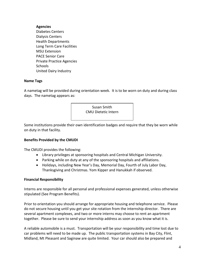### **Agencies**

Diabetes Centers Dialysis Centers Health Departments Long Term Care Facilities MSU Extension PACE Senior Care Private Practice Agencies Schools United Dairy Industry

## **Name Tags**

A nametag will be provided during orientation week. It is to be worn on duty and during class days. The nametag appears as:



Some institutions provide their own identification badges and require that they be worn while on duty in that facility.

# **Benefits Provided by the CMUDI**

The CMUDI provides the following:

- Library privileges at sponsoring hospitals and Central Michigan University.
- Parking while on duty at any of the sponsoring hospitals and affiliations.
- Holidays, including New Year's Day, Memorial Day, Fourth of July Labor Day, Thanksgiving and Christmas. Yom Kipper and Hanukkah if observed.

# **Financial Responsibility**

Interns are responsible for all personal and professional expenses generated, unless otherwise stipulated (See Program Benefits).

Prior to orientation you should arrange for appropriate housing and telephone service. Please do not secure housing until you get your site rotation from the internship director. There are several apartment complexes, and two or more interns may choose to rent an apartment together. Please be sure to send your internship address as soon as you know what it is.

A reliable automobile is a must. Transportation will be your responsibility and time lost due to car problems will need to be made up. The public transportation systems in Bay City, Flint, Midland, Mt Pleasant and Saginaw are quite limited. Your car should also be prepared and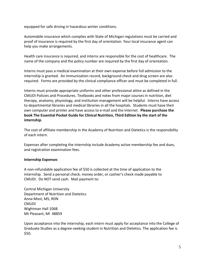equipped for safe driving in hazardous winter conditions.

Automobile insurance which complies with State of Michigan regulations must be carried and proof of insurance is required by the first day of orientation. Your local insurance agent can help you make arrangements.

Health care insurance is required, and interns are responsible for the cost of healthcare. The name of the company and the policy number are required by the first day of orientation.

Interns must pass a medical examination at their own expense before full admission to the internship is granted. An immunization record, background check and drug screen are also required. Forms are provided by the clinical compliance officer and must be completed in full.

Interns must provide appropriate uniforms and other professional attire as defined in the CMUDI Policies and Procedures. Textbooks and notes from major courses in nutrition, diet therapy, anatomy, physiology, and institution management will be helpful. Interns have access to departmental libraries and medical libraries in all the hospitals. Students must have their own computer and printer and have access to e-mail and the Internet. **Please purchase the book The Essential Pocket Guide for Clinical Nutrition, Third Edition by the start of the internship**.

The cost of affiliate membership in the Academy of Nutrition and Dietetics is the responsibility of each intern.

Expenses after completing the internship include Academy active membership fee and dues, and registration examination fees.

# **Internship Expenses**

A non-refundable application fee of \$50 is collected at the time of application to the internship. Send a personal check, money order, or cashier's check made payable to CMUDI. Do NOT send cash. Mail payment to:

Central Michigan University Department of Nutrition and Dietetics Anna Most, MS, RDN **CMUDI** Wightman Hall 106B Mt Pleasant, MI 48859

Upon acceptance into the internship, each intern must apply for acceptance into the College of Graduate Studies as a degree-seeking student in Nutrition and Dietetics. The application fee is \$50.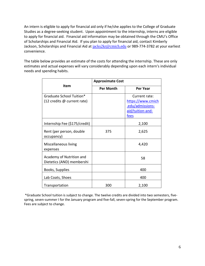An intern is eligible to apply for financial aid only if he/she applies to the College of Graduate Studies as a degree-seeking student. Upon appointment to the internship, interns are eligible to apply for financial aid. Financial aid information may be obtained through the CMU's Office of Scholarships and Financial Aid. If you plan to apply for financial aid, contact Kimberly Jackson, Scholarships and Financial Aid at [jacks2kr@cmich.edu](mailto:jacks2kr@cmich.edu) or 989-774-3782 at your earliest convenience.

The table below provides an estimate of the costs for attending the internship. These are only estimates and actual expenses will vary considerably depending upon each intern's individual needs and spending habits.

| <b>Item</b>                                             | <b>Approximate Cost</b> |                                                            |  |
|---------------------------------------------------------|-------------------------|------------------------------------------------------------|--|
|                                                         | <b>Per Month</b>        | Per Year                                                   |  |
| Graduate School Tuition*<br>(12 credits @ current rate) |                         | Current rate:<br>https://www.cmich                         |  |
|                                                         |                         | <u>.edu/admissions-</u><br>aid/tuition-and-<br><u>fees</u> |  |
| Internship Fee (\$175/credit)                           |                         | 2,100                                                      |  |
| Rent (per person, double<br>occupancy)                  | 375                     | 2,625                                                      |  |
| Miscellaneous living<br>expenses                        |                         | 4,420                                                      |  |
| Academy of Nutrition and<br>Dietetics (AND) membershi   |                         | 58                                                         |  |
| Books, Supplies                                         |                         | 400                                                        |  |
| Lab Coats, Shoes                                        |                         | 400                                                        |  |
| Transportation                                          | 300                     | 2,100                                                      |  |

 \*Graduate School tuition is subject to change. The twelve credits are divided into two semesters, fivespring, seven-summer I for the January program and five-fall, seven-spring for the September program. Fees are subject to change.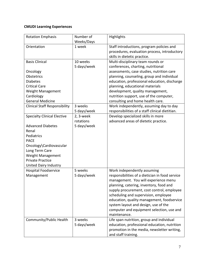# **CMUDI Learning Experiences**

| <b>Rotation Emphasis</b>             | Number of   | Highlights                                      |
|--------------------------------------|-------------|-------------------------------------------------|
|                                      | Weeks/Days  |                                                 |
| Orientation                          | 1 week      | Staff introductions, program policies and       |
|                                      |             | procedures, evaluation process, introductory    |
|                                      |             | skills in dietetic practice.                    |
| <b>Basis Clinical</b>                | 10 weeks    | Multi-disciplinary team rounds or               |
|                                      | 5 days/week | conferences, charting, nutritional              |
| Oncology                             |             | assessments, case studies, nutrition care       |
| <b>Obstetrics</b>                    |             | planning, counseling, group and individual      |
| <b>Diabetes</b>                      |             | education, professional education, discharge    |
| <b>Critical Care</b>                 |             | planning, educational materials                 |
| Weight Management                    |             | development, quality management,                |
| Cardiology                           |             | nutrition support, use of the computer,         |
| <b>General Medicine</b>              |             | consulting and home health care.                |
| <b>Clinical Staff Responsibility</b> | 3 weeks     | Work independently, assuming day to day         |
|                                      | 5 days/week | responsibilities of a staff clinical dietitian. |
| <b>Specialty Clinical Elective</b>   | 2, 3-week   | Develop specialized skills in more              |
|                                      | rotations   | advanced areas of dietetic practice.            |
| <b>Advanced Diabetes</b>             | 5 days/week |                                                 |
| Renal                                |             |                                                 |
| Pediatrics                           |             |                                                 |
| <b>PACE</b>                          |             |                                                 |
| Oncology\Cardiovascular              |             |                                                 |
| Long Term Care                       |             |                                                 |
| Weight Management                    |             |                                                 |
| <b>Private Practice</b>              |             |                                                 |
| United Dairy Industry                |             |                                                 |
| <b>Hospital Foodservice</b>          | 5 weeks     | Work independently assuming                     |
| Management                           | 5 days/week | responsibilities of a dietician in food service |
|                                      |             | management. You will experience menu            |
|                                      |             | planning, catering, inventory, food and         |
|                                      |             | supply procurement, cost control, employee      |
|                                      |             | scheduling and supervision, employee            |
|                                      |             | education, quality management, foodservice      |
|                                      |             | system layout and design, use of the            |
|                                      |             | computer and equipment selection, use and       |
|                                      |             | maintenance.                                    |
|                                      | 3 weeks     |                                                 |
| Community/Public Health              |             | Life span nutrition, group and individual       |
|                                      | 5 days/week | education, professional education, nutrition    |
|                                      |             | promotion in the media, newsletter writing,     |
|                                      |             | and staff training.                             |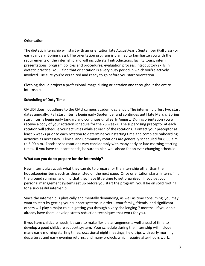## **Orientation**

The dietetic internship will start with an orientation late August/early September (Fall class) or early January (Spring class). The orientation program is planned to familiarize you with the requirements of the internship and will include staff introductions, facility tours, intern presentations, program policies and procedures, evaluation process, introductory skills in dietetic practice. You'll find that orientation is a very busy period in which you're actively involved. Be sure you're organized and ready to go before you start orientation.

Clothing should project a professional image during orientation and throughout the entire internship.

## **Scheduling of Duty Time**

CMUDI does not adhere to the CMU campus academic calendar. The internship offers two start dates annually. Fall start interns begin early September and continues until late March. Spring start interns begin early January and continues until early August. During orientation you will receive a copy of your rotation schedule for the 28 weeks. The supervising preceptor at each rotation will schedule your activities while at each of the rotations. Contact your preceptor at least 6 weeks prior to each rotation to determine your starting time and complete onboarding activities as necessary. Clinical and Community rotations are generally scheduled for 8:00 a.m. to 5:00 p.m. Foodservice rotations vary considerably with many early or late morning starting times. If you have childcare needs, be sure to plan well ahead for an ever-changing schedule.

#### **What can you do to prepare for the internship?**

New interns always ask what they can do to prepare for the internship other than the housekeeping items such as those listed on the next page. Once orientation starts, interns "hit the ground running" and find that they have little time to get organized. If you get your personal management systems set up before you start the program, you'll be on solid footing for a successful internship.

Since the internship is physically and mentally demanding, as well as time consuming, you may want to start by getting your support systems in order---your family, friends, and significant others will play a major role in getting you through a very challenging 7 months. If you don't already have them, develop stress reduction techniques that work for you.

If you have childcare needs, be sure to make flexible arrangements well ahead of time to develop a good childcare support system. Your schedule during the internship will include many early morning starting times, occasional night meetings, field trips with early morning departures and early evening returns, and many projects which require after-hours work.